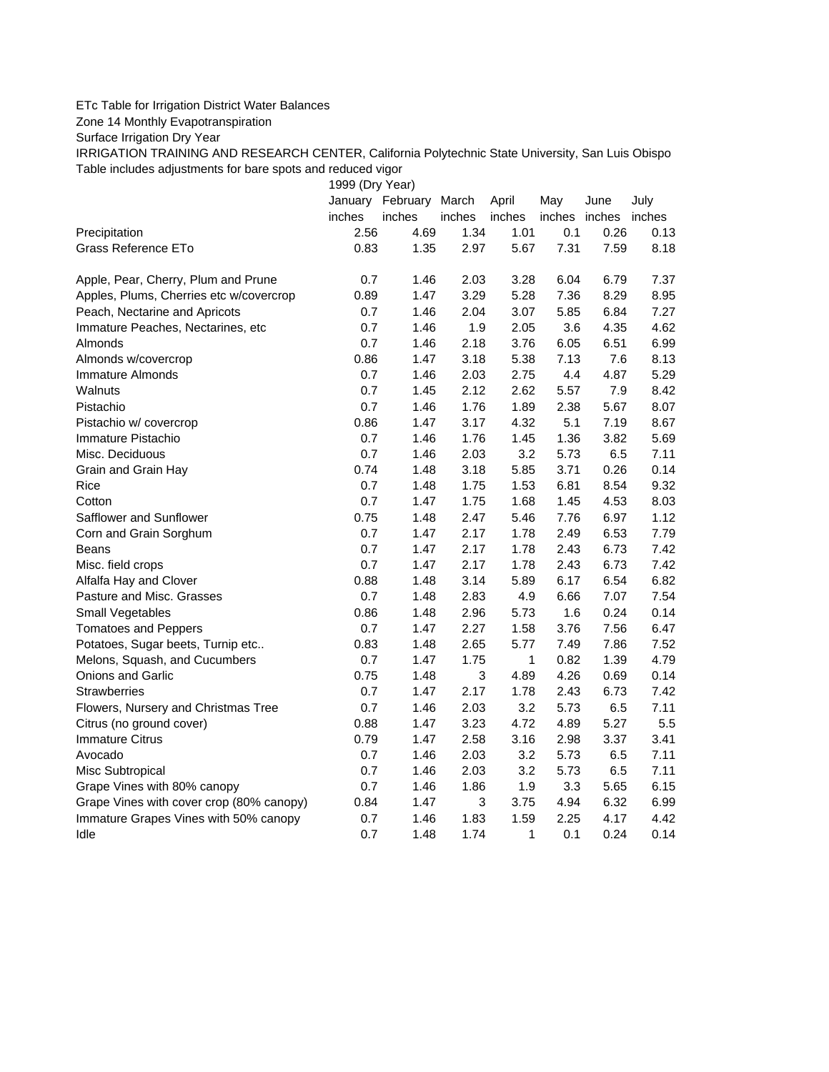## ETc Table for Irrigation District Water Balances

Zone 14 Monthly Evapotranspiration

Surface Irrigation Dry Year

IRRIGATION TRAINING AND RESEARCH CENTER, California Polytechnic State University, San Luis Obispo Table includes adjustments for bare spots and reduced vigor

1999 (Dry Year)

|                                          |        | January February March |        | April        | May           | June | July   |
|------------------------------------------|--------|------------------------|--------|--------------|---------------|------|--------|
|                                          | inches | inches                 | inches | inches       | inches inches |      | inches |
| Precipitation                            | 2.56   | 4.69                   | 1.34   | 1.01         | 0.1           | 0.26 | 0.13   |
| Grass Reference ETo                      | 0.83   | 1.35                   | 2.97   | 5.67         | 7.31          | 7.59 | 8.18   |
| Apple, Pear, Cherry, Plum and Prune      | 0.7    | 1.46                   | 2.03   | 3.28         | 6.04          | 6.79 | 7.37   |
| Apples, Plums, Cherries etc w/covercrop  | 0.89   | 1.47                   | 3.29   | 5.28         | 7.36          | 8.29 | 8.95   |
| Peach, Nectarine and Apricots            | 0.7    | 1.46                   | 2.04   | 3.07         | 5.85          | 6.84 | 7.27   |
| Immature Peaches, Nectarines, etc        | 0.7    | 1.46                   | 1.9    | 2.05         | 3.6           | 4.35 | 4.62   |
| Almonds                                  | 0.7    | 1.46                   | 2.18   | 3.76         | 6.05          | 6.51 | 6.99   |
| Almonds w/covercrop                      | 0.86   | 1.47                   | 3.18   | 5.38         | 7.13          | 7.6  | 8.13   |
| <b>Immature Almonds</b>                  | 0.7    | 1.46                   | 2.03   | 2.75         | 4.4           | 4.87 | 5.29   |
| Walnuts                                  | 0.7    | 1.45                   | 2.12   | 2.62         | 5.57          | 7.9  | 8.42   |
| Pistachio                                | 0.7    | 1.46                   | 1.76   | 1.89         | 2.38          | 5.67 | 8.07   |
| Pistachio w/ covercrop                   | 0.86   | 1.47                   | 3.17   | 4.32         | 5.1           | 7.19 | 8.67   |
| Immature Pistachio                       | 0.7    | 1.46                   | 1.76   | 1.45         | 1.36          | 3.82 | 5.69   |
| Misc. Deciduous                          | 0.7    | 1.46                   | 2.03   | 3.2          | 5.73          | 6.5  | 7.11   |
| Grain and Grain Hay                      | 0.74   | 1.48                   | 3.18   | 5.85         | 3.71          | 0.26 | 0.14   |
| Rice                                     | 0.7    | 1.48                   | 1.75   | 1.53         | 6.81          | 8.54 | 9.32   |
| Cotton                                   | 0.7    | 1.47                   | 1.75   | 1.68         | 1.45          | 4.53 | 8.03   |
| Safflower and Sunflower                  | 0.75   | 1.48                   | 2.47   | 5.46         | 7.76          | 6.97 | 1.12   |
| Corn and Grain Sorghum                   | 0.7    | 1.47                   | 2.17   | 1.78         | 2.49          | 6.53 | 7.79   |
| Beans                                    | 0.7    | 1.47                   | 2.17   | 1.78         | 2.43          | 6.73 | 7.42   |
| Misc. field crops                        | 0.7    | 1.47                   | 2.17   | 1.78         | 2.43          | 6.73 | 7.42   |
| Alfalfa Hay and Clover                   | 0.88   | 1.48                   | 3.14   | 5.89         | 6.17          | 6.54 | 6.82   |
| Pasture and Misc. Grasses                | 0.7    | 1.48                   | 2.83   | 4.9          | 6.66          | 7.07 | 7.54   |
| Small Vegetables                         | 0.86   | 1.48                   | 2.96   | 5.73         | 1.6           | 0.24 | 0.14   |
| <b>Tomatoes and Peppers</b>              | 0.7    | 1.47                   | 2.27   | 1.58         | 3.76          | 7.56 | 6.47   |
| Potatoes, Sugar beets, Turnip etc        | 0.83   | 1.48                   | 2.65   | 5.77         | 7.49          | 7.86 | 7.52   |
| Melons, Squash, and Cucumbers            | 0.7    | 1.47                   | 1.75   | $\mathbf{1}$ | 0.82          | 1.39 | 4.79   |
| <b>Onions and Garlic</b>                 | 0.75   | 1.48                   | 3      | 4.89         | 4.26          | 0.69 | 0.14   |
| <b>Strawberries</b>                      | 0.7    | 1.47                   | 2.17   | 1.78         | 2.43          | 6.73 | 7.42   |
| Flowers, Nursery and Christmas Tree      | 0.7    | 1.46                   | 2.03   | 3.2          | 5.73          | 6.5  | 7.11   |
| Citrus (no ground cover)                 | 0.88   | 1.47                   | 3.23   | 4.72         | 4.89          | 5.27 | 5.5    |
| <b>Immature Citrus</b>                   | 0.79   | 1.47                   | 2.58   | 3.16         | 2.98          | 3.37 | 3.41   |
| Avocado                                  | 0.7    | 1.46                   | 2.03   | 3.2          | 5.73          | 6.5  | 7.11   |
| Misc Subtropical                         | 0.7    | 1.46                   | 2.03   | 3.2          | 5.73          | 6.5  | 7.11   |
| Grape Vines with 80% canopy              | 0.7    | 1.46                   | 1.86   | 1.9          | 3.3           | 5.65 | 6.15   |
| Grape Vines with cover crop (80% canopy) | 0.84   | 1.47                   | 3      | 3.75         | 4.94          | 6.32 | 6.99   |
| Immature Grapes Vines with 50% canopy    | 0.7    | 1.46                   | 1.83   | 1.59         | 2.25          | 4.17 | 4.42   |
| Idle                                     | 0.7    | 1.48                   | 1.74   | 1            | 0.1           | 0.24 | 0.14   |